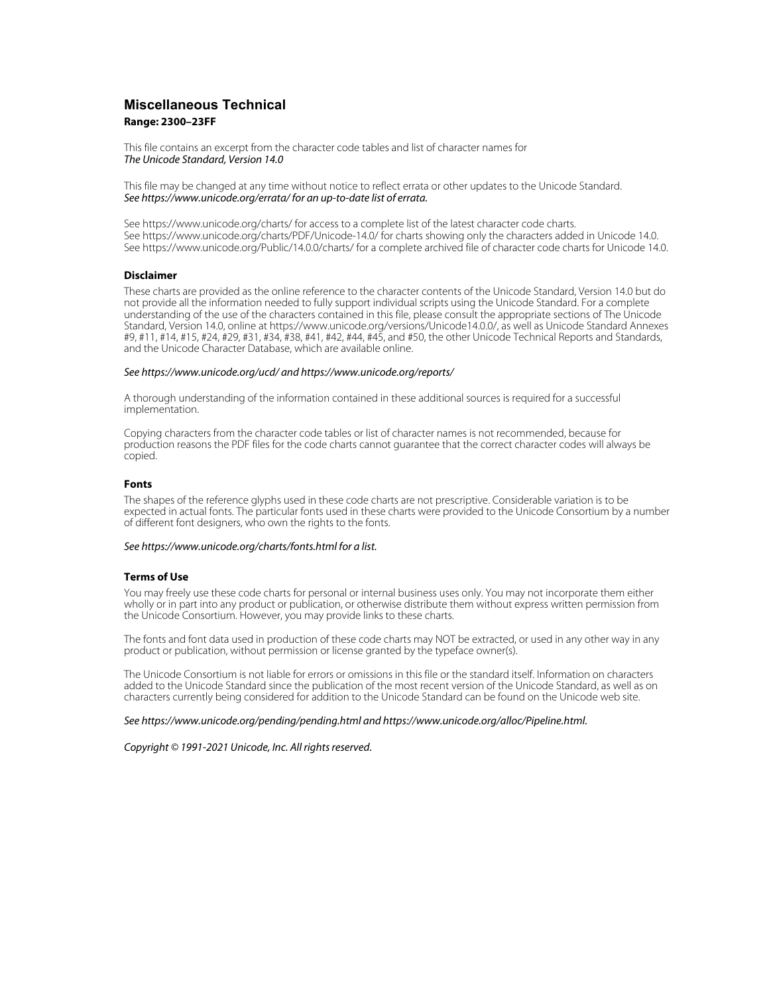## **Miscellaneous Technical Range: 2300–23FF**

This file contains an excerpt from the character code tables and list of character names for The Unicode Standard, Version 14.0

This file may be changed at any time without notice to reflect errata or other updates to the Unicode Standard. See https://www.unicode.org/errata/ for an up-to-date list of errata.

See https://www.unicode.org/charts/ for access to a complete list of the latest character code charts. See https://www.unicode.org/charts/PDF/Unicode-14.0/ for charts showing only the characters added in Unicode 14.0. See https://www.unicode.org/Public/14.0.0/charts/ for a complete archived file of character code charts for Unicode 14.0.

#### **Disclaimer**

These charts are provided as the online reference to the character contents of the Unicode Standard, Version 14.0 but do not provide all the information needed to fully support individual scripts using the Unicode Standard. For a complete understanding of the use of the characters contained in this file, please consult the appropriate sections of The Unicode Standard, Version 14.0, online at https://www.unicode.org/versions/Unicode14.0.0/, as well as Unicode Standard Annexes #9, #11, #14, #15, #24, #29, #31, #34, #38, #41, #42, #44, #45, and #50, the other Unicode Technical Reports and Standards, and the Unicode Character Database, which are available online.

#### See https://www.unicode.org/ucd/ and https://www.unicode.org/reports/

A thorough understanding of the information contained in these additional sources is required for a successful implementation.

Copying characters from the character code tables or list of character names is not recommended, because for production reasons the PDF files for the code charts cannot guarantee that the correct character codes will always be copied.

#### **Fonts**

The shapes of the reference glyphs used in these code charts are not prescriptive. Considerable variation is to be expected in actual fonts. The particular fonts used in these charts were provided to the Unicode Consortium by a number of different font designers, who own the rights to the fonts.

#### See https://www.unicode.org/charts/fonts.html for a list.

#### **Terms of Use**

You may freely use these code charts for personal or internal business uses only. You may not incorporate them either wholly or in part into any product or publication, or otherwise distribute them without express written permission from the Unicode Consortium. However, you may provide links to these charts.

The fonts and font data used in production of these code charts may NOT be extracted, or used in any other way in any product or publication, without permission or license granted by the typeface owner(s).

The Unicode Consortium is not liable for errors or omissions in this file or the standard itself. Information on characters added to the Unicode Standard since the publication of the most recent version of the Unicode Standard, as well as on characters currently being considered for addition to the Unicode Standard can be found on the Unicode web site.

#### See https://www.unicode.org/pending/pending.html and https://www.unicode.org/alloc/Pipeline.html.

Copyright © 1991-2021 Unicode, Inc. All rights reserved.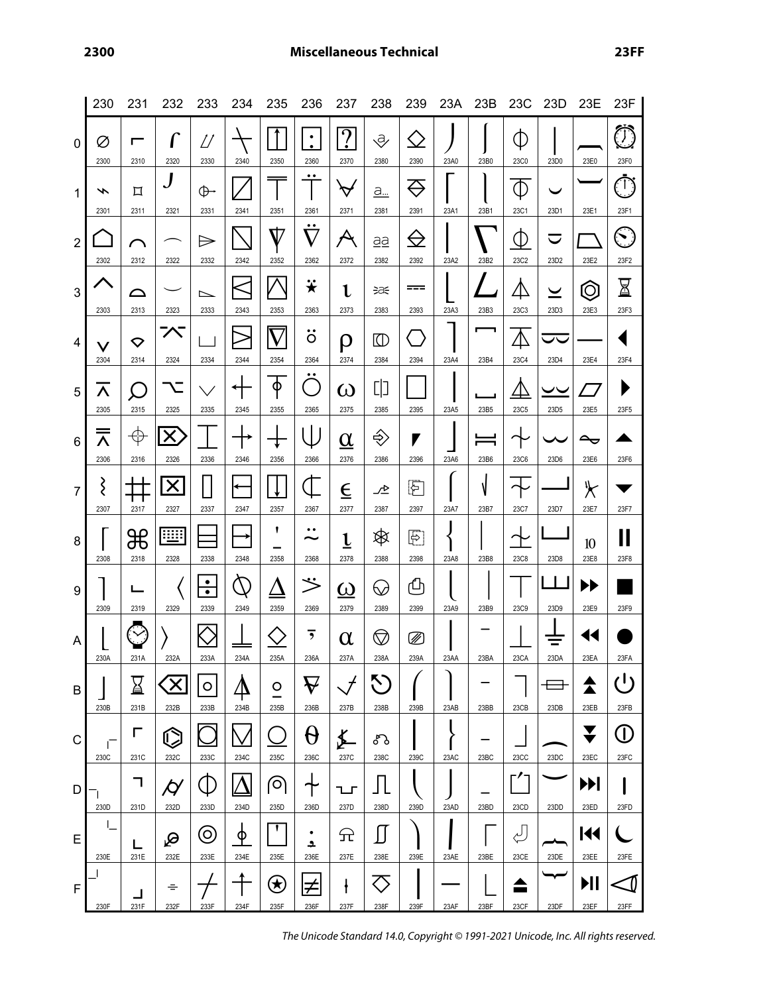|                  | 230                              | 231                       | 232                               | 233                               | 234                                                               | 235                | 236                                       | 237                                | 238                                | 239               | 23A  | 23B       | 23C                  | 23D                              | 23E                           | 23F                        |
|------------------|----------------------------------|---------------------------|-----------------------------------|-----------------------------------|-------------------------------------------------------------------|--------------------|-------------------------------------------|------------------------------------|------------------------------------|-------------------|------|-----------|----------------------|----------------------------------|-------------------------------|----------------------------|
| 0                | Ø<br>2300                        | г<br>2310                 | 2320                              | D<br>2330                         | 2340                                                              | 2350               | ٠<br>$\bullet$<br>2360                    | $\overline{?}$<br>2370             | ₹<br>2380                          | $\zeta$ )<br>2390 | 23A0 | 23B0      | (L<br>23C0           | 23D0                             | 23E0                          | $\bigcirc$<br>23F0         |
| 1                | ∽<br>2301                        | 口<br>2311                 | 2321                              | $\oplus$<br>2331                  | 2341                                                              | 2351               | $\bullet\bullet$<br>2361                  | $\bm{\varphi}$<br>2371             | a<br>2381                          | ♡<br>2391         | 23A1 | 23B1      | Φ<br>23C1            | 23D1                             | 23E1                          | $\bar{\mathbb{D}}$<br>23F1 |
| $\boldsymbol{2}$ | 2302                             | 2312                      | 2322                              | $\Rightarrow$<br>2332             | 2342                                                              | $\rm{V}$<br>2352   | $\bullet\bullet$<br>$\rm \nabla$<br>2362  | $\boldsymbol{\mathcal{A}}$<br>2372 | <u>aa</u><br>2382                  | $\ominus$<br>2392 | 23A2 | 23B2      | Ф<br>23C2            | $\blacktriangledown$<br>23D2     | 23E2                          | S)<br>23F2                 |
| $\mathbf{3}$     | 2303                             | △<br>2313                 | 2323                              | ⊵<br>2333                         | 2343                                                              | 2353               | <mark>*</mark><br>2363                    | ι<br>2373                          | ∋a€<br>2383                        | ===<br>2393       | 23A3 | 23B3      | Д<br>23C3            | $\overline{\phantom{0}}$<br>23D3 | $\circledcirc$<br>23E3        | $\boxtimes$<br>23F3        |
| 4                | $\checkmark$<br>2304             | $\bm{\heartsuit}$<br>2314 | へ<br>2324                         | 2334                              | 2344                                                              | 2354               | $\bullet\bullet$<br>O<br>2364             | ρ<br>2374                          | $\textcircled{r}$<br>2384          | 2394              | 23A4 | 23B4      | $\triangle$<br>23C4  | ᄉ<br>23D4                        | 23E4                          | 23F4                       |
| $\sqrt{5}$       | Λ<br>2305                        | $\bigcap$<br>2315         | 2325                              | 2335                              | 2345                                                              | φ<br>2355          | $\bullet\bullet$<br>$\mathcal{L}$<br>2365 | $\omega$<br>2375                   | 다]<br>2385                         | 2395              | 23A5 | 23B5      | <br>23C <sub>5</sub> | ーー<br>23D <sub>5</sub>           | 23E5                          | 23F5                       |
| 6                | $\overline{\bm{\wedge}}$<br>2306 | $\oplus$<br>2316          | X<br>2326                         | 2336                              | 2346                                                              | 2356               | 2366                                      | $\underline{\alpha}$<br>2376       | ♦<br>2386                          | 7<br>2396         | 23A6 | 23B6      | 23C6                 | 23D6                             | $\rightarrow$<br>23E6         | 23F6                       |
| $\overline{7}$   | ξ<br>2307                        | 2317                      | $\boldsymbol{\mathsf{X}}$<br>2327 | $\overline{\phantom{a}}$<br>2337  | ←<br>2347                                                         | 2357               | ↿<br>2367                                 | $\overline{\epsilon}$<br>2377      | ∠⊵<br>2387                         | 囨<br>2397         | 23A7 | N<br>23B7 | 23C7                 | 23D7                             | $\blacktriangleright$<br>23E7 | 23F7                       |
| 8                | 2308                             | ₩<br>2318                 | W<br>2328                         | 2338                              | 2348                                                              | 1<br>2358          | $\bullet\bullet$<br>~<br>2368             | $\underline{\mathfrak{t}}$<br>2378 | <br>2388                           | 臣<br>2398         | 23A8 | 23B8      | 23C8                 | 23D8                             | 10<br>23E8                    | Ⅱ<br>23F8                  |
| 9                | 2309                             | 2319                      | 2329                              | ٠<br>$\overline{\bullet}$<br>2339 | $\mathcal{D}% _{M_{1},M_{2}}^{\alpha,\beta}(\varepsilon)$<br>2349 | <u>∆</u><br>2359   | ジ<br>2369                                 | $\overline{\omega}$<br>2379        | $\heartsuit$<br>2389               | ௹<br>2399         | 23A9 | 23B9      | <b>23C9</b>          | 23D9                             | ▶▶<br>23E9                    | 23F9                       |
| A                | 230A                             | 231A                      | 232A                              | 233A                              | 234A                                                              | 235A               | 236A                                      | $\alpha$<br>237A                   | $\heartsuit$<br>238A               | Ø<br>239A         | 23AA | 23BA      | 23CA                 | 23DA                             | 14<br>23EA                    | 23FA                       |
| В                | 230B                             | ⊠<br>231B                 | $\propto$<br>232B                 | $\circ$<br>233B                   | 234B                                                              | $\circ$<br>235B    | $\bm{\nabla}$<br>236B                     | $\mathcal{J}$<br>237B              | $\mathcal{N}$<br>238B              | 239B              | 23AB | 23BB      | 23CB                 | 23DB                             | 23EB                          | ر ا∙<br>23FB               |
| C                | Ē<br>230C                        | г<br>231C                 | C<br>232C                         | 233C                              | 234C                                                              | 235C               | $\theta$<br>236C                          | ≰<br>237C                          | ᡒ᠔<br>238C                         | 239C              | 23AC | 23BC      | 23CC                 | 23DC                             | ▼<br>v<br>23EC                | $\mathbb{O}$<br>23FC       |
| D                | 230D                             | ┑<br>231D                 | $\bm{\acute{\varphi}}$<br>232D    | Œ.<br>233D                        | 234D                                                              | ၜ<br>235D          | ╅<br>236D                                 | ᇅ<br>237D                          | 238D                               | 239D              | 23AD | 23BD      | 23CD                 | 23DD                             | H<br>23ED                     | 23FD                       |
| E                | L<br>230E                        | L<br>231E                 | ₽<br>232E                         | $\circledcirc$<br>233E            | <u>ቀ</u><br>234E                                                  | 235E               | $\bullet$<br>≏<br>236E                    | 규<br>237E                          | $\mathop{\textstyle\prod}$<br>238E | 239E              | 23AE | 23BE      | للہ<br>23CE          | 23DE                             | 144<br>23EE                   | 23FE                       |
| F                | 230F                             | 231F                      | ÷<br>232F                         | 233F                              | 234F                                                              | $\bigcirc$<br>235F | 学<br>236F                                 | ł<br>237F                          | 238F                               | 239F              | 23AF | 23BF      | 23CF                 | 23DF                             | ИI<br>23EF                    | 23FF                       |

The Unicode Standard 14.0, Copyright © 1991-2021 Unicode, Inc. All rights reserved.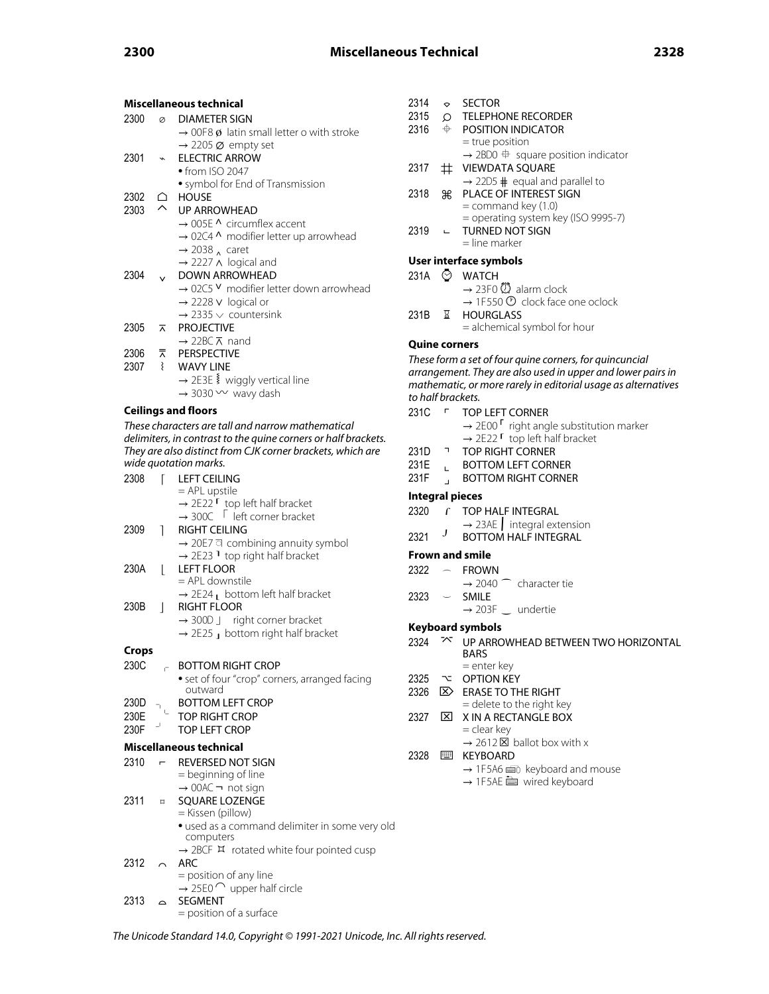|       |                          | Miscellaneous technical                                                   |
|-------|--------------------------|---------------------------------------------------------------------------|
| 2300  | Ø                        | <b>DIAMETER SIGN</b>                                                      |
|       |                          | $\rightarrow$ 00F8 ø latin small letter o with stroke                     |
|       |                          | $\rightarrow$ 2205 $\varnothing$ empty set                                |
| 2301  | $\checkmark$             | <b>ELECTRIC ARROW</b>                                                     |
|       |                          | $\bullet$ from ISO 2047                                                   |
| 2302  |                          | • symbol for End of Transmission<br>HOUSE                                 |
| 2303  | △                        | <b>UP ARROWHEAD</b>                                                       |
|       |                          | $\rightarrow$ 005E $\land$ circumflex accent                              |
|       |                          | → 02C4 ^ modifier letter up arrowhead                                     |
|       |                          | $\rightarrow$ 2038 $_{\Lambda}$ caret                                     |
|       |                          | $\rightarrow$ 2227 $\land$ logical and                                    |
| 2304  |                          | <b>DOWN ARROWHEAD</b>                                                     |
|       |                          | → 02C5 V modifier letter down arrowhead                                   |
|       |                          | $\rightarrow$ 2228 v logical or<br>$\rightarrow$ 2335 $\vee$ countersink  |
| 2305  | ⊼                        | <b>PROJECTIVE</b>                                                         |
|       |                          | $\rightarrow$ 22BC $\overline{\wedge}$ nand                               |
| 2306  | ⊼                        | <b>PERSPECTIVE</b>                                                        |
| 2307  | ₹                        | <b>WAVY LINE</b>                                                          |
|       |                          | → 2E3E § wiggly vertical line                                             |
|       |                          | $\rightarrow$ 3030 $\sim$ wavy dash                                       |
|       |                          | <b>Ceilings and floors</b>                                                |
|       |                          | These characters are tall and narrow mathematical                         |
|       |                          | delimiters, in contrast to the quine corners or half brackets.            |
|       |                          | They are also distinct from CJK corner brackets, which are                |
|       |                          | wide quotation marks.                                                     |
| 2308  | ſ                        | <b>LEFT CEILING</b>                                                       |
|       |                          | = APL upstile<br>$\rightarrow$ 2E22 $\Gamma$ top left half bracket        |
|       |                          | $\rightarrow$ 300C $\sqrt{ }$ left corner bracket                         |
| 2309  | 1                        | <b>RIGHT CEILING</b>                                                      |
|       |                          | → 20E7 a combining annuity symbol                                         |
|       |                          | $\rightarrow$ 2E23 <sup>1</sup> top right half bracket                    |
| 230A  | $\mathsf{L}$             | <b>LEFT FLOOR</b>                                                         |
|       |                          | = APL downstile                                                           |
| 230B  |                          | $\rightarrow$ 2E24 $\mu$ bottom left half bracket<br><b>RIGHT FLOOR</b>   |
|       | $\overline{\phantom{a}}$ | $\rightarrow$ 300D J right corner bracket                                 |
|       |                          | $\rightarrow$ 2E25 $\rightarrow$ bottom right half bracket                |
|       |                          |                                                                           |
| Crops |                          |                                                                           |
| 230C  | e.                       | <b>BOTTOM RIGHT CROP</b><br>• set of four "crop" corners, arranged facing |
|       |                          | outward                                                                   |
| 230D  | T.                       | <b>BOTTOM LEFT CROP</b>                                                   |
| 230E  |                          | <b>TOP RIGHT CROP</b>                                                     |
| 230F  |                          | <b>TOP LEFT CROP</b>                                                      |
|       |                          | Miscellaneous technical                                                   |
| 2310  | $\blacksquare$           | REVERSED NOT SIGN                                                         |
|       |                          | = beginning of line                                                       |
|       |                          | $\rightarrow$ 00AC $\neg$ not sign                                        |
| 2311  | $\Box$                   | SQUARE LOZENGE                                                            |
|       |                          | = Kissen (pillow)                                                         |
|       |                          | · used as a command delimiter in some very old<br>computers               |
|       |                          | → 2BCF ¤ rotated white four pointed cusp                                  |
| 2312  |                          | ARC                                                                       |
|       |                          | = position of any line                                                    |
|       |                          | $\rightarrow$ 25E0 $\cap$ upper half circle                               |
| 2313  |                          | <b>SEGMENT</b>                                                            |

| 2314 | ◇ | <b>SECTOR</b> |
|------|---|---------------|
|      |   |               |

```
2315 \circ TELEPHONE RECORDER<br>2316 \div POSITION INDICATOR
```
- POSITION INDICATOR = true position  $\rightarrow$  2BD0  $\oplus$  square position indicator
- 2317 # VIEWDATA SQUARE
- $\rightarrow$  22D5  $\#$  equal and parallel to 2318 ⌘ PLACE OF INTEREST SIGN = command key (1.0)
	- = operating system key (ISO 9995-7)
- 2319 **← TURNED NOT SIGN** = line marker

### **User interface symbols**

- 231A **Ø** WATCH
	- $\rightarrow$  23F0  $\ddot{\text{CD}}$  alarm clock
		- $\rightarrow$  1F550  $\circled{0}$  clock face one oclock
- 231B ⌛ HOURGLASS = alchemical symbol for hour

### **Quine corners**

These form a set of four quine corners, for quincuncial arrangement. They are also used in upper and lower pairs in mathematic, or more rarely in editorial usage as alternatives to half brackets.

- 231C  $\Gamma$  TOP LEFT CORNER
	- $\rightarrow$  2E00  $\Gamma$  right angle substitution marker  $\rightarrow$  2E22  $\Gamma$  top left half bracket
	-
- 231D **T** TOP RIGHT CORNER<br>231E BOTTOM LEFT CORN
- 231E 
L BOTTOM LEFT CORNER
231F BOTTOM RIGHT CORNE 1. BOTTOM RIGHT CORNER

### **Integral pieces**

2320  $\int$  TOP HALF INTEGRAL

 $\rightarrow$  23AE  $\vert$  integral extension

2321 J BOTTOM HALF INTEGRAL

### **Frown and smile**

- $2322 \sim$  FROWN
- $\rightarrow$  2040  $\frown$  character tie 2323 ⌣ SMILE
	- $\rightarrow$  203F  $\_$  undertie

#### **Keyboard symbols**

- 2324 <sup> $\sim$ </sup> UP ARROWHEAD BETWEEN TWO HORIZONTAL BARS
- = enter key 2325  $\sim$  OPTION KEY
- 2326  $\triangleright$  ERASE TO THE RIGHT
- = delete to the right key
- 2327 **EX X IN A RECTANGLE BOX** = clear key
	- $\rightarrow$  2612  $\times$  ballot box with x
- 2328 **III KEYBOARD** 
	- $\rightarrow$  1F5A6  $\equiv$  keyboard and mouse
	- $\rightarrow$  1F5AE  $\equiv$  wired keyboard

The Unicode Standard 14.0, Copyright © 1991-2021 Unicode, Inc. All rights reserved.

= position of a surface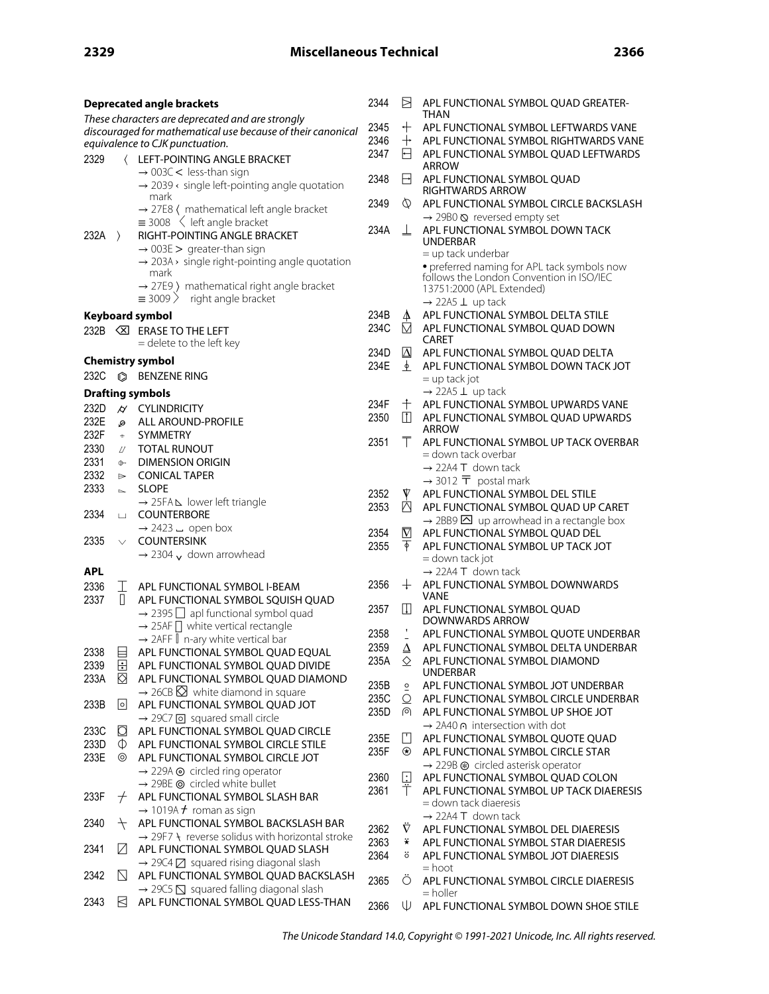| <b>Deprecated angle brackets</b> |                     |                                                                                                  | 2344 | Ħ             | APL FUNCTIONAL SYMBOL QUAD GREATER-                                                                         |
|----------------------------------|---------------------|--------------------------------------------------------------------------------------------------|------|---------------|-------------------------------------------------------------------------------------------------------------|
|                                  |                     | These characters are deprecated and are strongly                                                 |      |               | THAN                                                                                                        |
|                                  |                     | discouraged for mathematical use because of their canonical                                      | 2345 | ┿             | APL FUNCTIONAL SYMBOL LEFTWARDS VANE                                                                        |
|                                  |                     | equivalence to CJK punctuation.                                                                  | 2346 | $\,+\,$       | APL FUNCTIONAL SYMBOL RIGHTWARDS VANE                                                                       |
| 2329                             | $\langle$           | LEFT-POINTING ANGLE BRACKET                                                                      | 2347 | H             | APL FUNCTIONAL SYMBOL QUAD LEFTWARDS<br>ARROW                                                               |
|                                  |                     | $\rightarrow$ 003C < less-than sign                                                              | 2348 | H             | APL FUNCTIONAL SYMBOL QUAD                                                                                  |
|                                  |                     | $\rightarrow$ 2039 < single left-pointing angle quotation                                        |      |               | <b>RIGHTWARDS ARROW</b>                                                                                     |
|                                  |                     | mark                                                                                             | 2349 | Ø             | APL FUNCTIONAL SYMBOL CIRCLE BACKSLASH                                                                      |
|                                  |                     | $\rightarrow$ 27E8 ( mathematical left angle bracket<br>$\equiv$ 3008 $\leq$ left angle bracket  |      |               | $\rightarrow$ 29B0 $\otimes$ reversed empty set                                                             |
| $232A$ $>$                       |                     | RIGHT-POINTING ANGLE BRACKET                                                                     | 234A | 丄             | APL FUNCTIONAL SYMBOL DOWN TACK                                                                             |
|                                  |                     | $\rightarrow$ 003E > greater-than sign                                                           |      |               | <b>UNDERBAR</b>                                                                                             |
|                                  |                     | $\rightarrow$ 203A > single right-pointing angle quotation                                       |      |               | = up tack underbar                                                                                          |
|                                  |                     | mark                                                                                             |      |               | • preferred naming for APL tack symbols now<br>follows the London Convention in ISO/IEC                     |
|                                  |                     | $\rightarrow$ 27E9 ) mathematical right angle bracket                                            |      |               | 13751:2000 (APL Extended)                                                                                   |
|                                  |                     | $\equiv$ 3009 > right angle bracket                                                              |      |               | $\rightarrow$ 22A5 $\perp$ up tack                                                                          |
|                                  |                     | Keyboard symbol                                                                                  | 234B | 4             | APL FUNCTIONAL SYMBOL DELTA STILE                                                                           |
|                                  |                     | 232B <b>IS ERASE TO THE LEFT</b>                                                                 | 234C | ⊠             | APL FUNCTIONAL SYMBOL QUAD DOWN                                                                             |
|                                  |                     | = delete to the left key                                                                         |      |               | <b>CARET</b>                                                                                                |
|                                  |                     | <b>Chemistry symbol</b>                                                                          | 234D | $\Delta$      | APL FUNCTIONAL SYMBOL QUAD DELTA                                                                            |
| 232C                             | $\circledcirc$      | <b>BENZENE RING</b>                                                                              | 234E | ≜             | APL FUNCTIONAL SYMBOL DOWN TACK JOT<br>$=$ up tack jot                                                      |
|                                  |                     |                                                                                                  |      |               | $\rightarrow$ 22A5 $\perp$ up tack                                                                          |
|                                  |                     | <b>Drafting symbols</b>                                                                          | 234F | 十             | APL FUNCTIONAL SYMBOL UPWARDS VANE                                                                          |
| 232D                             | $\overline{\omega}$ | <b>CYLINDRICITY</b>                                                                              | 2350 | m             | APL FUNCTIONAL SYMBOL QUAD UPWARDS                                                                          |
| 232E<br>232F                     | Q<br>$\pm$          | ALL AROUND-PROFILE<br><b>SYMMETRY</b>                                                            |      |               | <b>ARROW</b>                                                                                                |
| 2330                             |                     | <b>TOTAL RUNOUT</b>                                                                              | 2351 | Τ             | APL FUNCTIONAL SYMBOL UP TACK OVERBAR                                                                       |
| 2331                             | П<br>$\oplus$       | <b>DIMENSION ORIGIN</b>                                                                          |      |               | = down tack overbar                                                                                         |
| 2332                             | $\Rightarrow$       | <b>CONICAL TAPER</b>                                                                             |      |               | $\rightarrow$ 22A4 T down tack                                                                              |
| 2333                             | $\sim$              | <b>SLOPE</b>                                                                                     |      |               | $\rightarrow$ 3012 $\overline{T}$ postal mark                                                               |
|                                  |                     | → 25FAL lower left triangle                                                                      | 2352 | ▼             | APL FUNCTIONAL SYMBOL DEL STILE                                                                             |
| 2334                             | 山                   | <b>COUNTERBORE</b>                                                                               | 2353 | Δ             | APL FUNCTIONAL SYMBOL QUAD UP CARET                                                                         |
|                                  |                     | $\rightarrow$ 2423 $\overline{ }$ open box                                                       | 2354 | $\nabla$      | $\rightarrow$ 2BB9 $\overline{\triangle}$ up arrowhead in a rectangle box<br>APL FUNCTIONAL SYMBOL QUAD DEL |
| 2335                             | $\vee$              | <b>COUNTERSINK</b>                                                                               | 2355 | क             | APL FUNCTIONAL SYMBOL UP TACK JOT                                                                           |
|                                  |                     | $\rightarrow$ 2304 $\sqrt{ }$ down arrowhead                                                     |      |               | = down tack jot                                                                                             |
| <b>APL</b>                       |                     |                                                                                                  |      |               | $\rightarrow$ 22A4 T down tack                                                                              |
| 2336                             | T.                  | APL FUNCTIONAL SYMBOL I-BEAM                                                                     | 2356 |               | $+$ APL FUNCTIONAL SYMBOL DOWNWARDS                                                                         |
| 2337                             | П                   | APL FUNCTIONAL SYMBOL SOUISH OUAD                                                                |      |               | VANE                                                                                                        |
|                                  |                     | $\rightarrow$ 2395 $\Box$ apl functional symbol quad                                             | 2357 | $\Box$        | APL FUNCTIONAL SYMBOL QUAD<br>DOWNWARDS ARROW                                                               |
|                                  |                     | $\rightarrow$ 25AF $\Box$ white vertical rectangle                                               | 2358 |               | APL FUNCTIONAL SYMBOL QUOTE UNDERBAR                                                                        |
|                                  |                     | → 2AFF   n-ary white vertical bar                                                                | 2359 | Δ             | APL FUNCTIONAL SYMBOL DELTA UNDERBAR                                                                        |
| 2338                             | ⊟                   | APL FUNCTIONAL SYMBOL QUAD EQUAL                                                                 | 235A | ◇             | APL FUNCTIONAL SYMBOL DIAMOND                                                                               |
| 2339<br>233A                     | $\boxdot$<br>K)     | APL FUNCTIONAL SYMBOL QUAD DIVIDE                                                                |      |               | <b>UNDERBAR</b>                                                                                             |
|                                  |                     | APL FUNCTIONAL SYMBOL QUAD DIAMOND<br>$\rightarrow$ 26CB $\boxtimes$ white diamond in square     | 235B | $\circ$       | APL FUNCTIONAL SYMBOL JOT UNDERBAR                                                                          |
| 233B                             | 0                   | APL FUNCTIONAL SYMBOL QUAD JOT                                                                   | 235C | O             | APL FUNCTIONAL SYMBOL CIRCLE UNDERBAR                                                                       |
|                                  |                     | $\rightarrow$ 29C7 o squared small circle                                                        | 235D | ര             | APL FUNCTIONAL SYMBOL UP SHOE JOT                                                                           |
| 233C                             | Ø                   | APL FUNCTIONAL SYMBOL QUAD CIRCLE                                                                |      |               | → 2A40 ∩ intersection with dot                                                                              |
| 233D                             | $\circ$             | APL FUNCTIONAL SYMBOL CIRCLE STILE                                                               | 235E | l'I           | APL FUNCTIONAL SYMBOL QUOTE QUAD                                                                            |
| 233E                             | ⊚                   | APL FUNCTIONAL SYMBOL CIRCLE JOT                                                                 | 235F | $\circledast$ | APL FUNCTIONAL SYMBOL CIRCLE STAR                                                                           |
|                                  |                     | $\rightarrow$ 229A $\odot$ circled ring operator                                                 | 2360 | o             | $\rightarrow$ 229B $\circledast$ circled asterisk operator<br>APL FUNCTIONAL SYMBOL QUAD COLON              |
|                                  |                     | $\rightarrow$ 29BE $\odot$ circled white bullet                                                  | 2361 | Т             | APL FUNCTIONAL SYMBOL UP TACK DIAERESIS                                                                     |
| 233F                             | $\pm$               | APL FUNCTIONAL SYMBOL SLASH BAR                                                                  |      |               | = down tack diaeresis                                                                                       |
|                                  |                     | $\rightarrow$ 1019A $\neq$ roman as sign                                                         |      |               | $\rightarrow$ 22A4 T down tack                                                                              |
| 2340                             | $^{+}$              | APL FUNCTIONAL SYMBOL BACKSLASH BAR                                                              | 2362 | Ŷ             | APL FUNCTIONAL SYMBOL DEL DIAERESIS                                                                         |
| 2341                             | И                   | $\rightarrow$ 29F7 \t reverse solidus with horizontal stroke<br>APL FUNCTIONAL SYMBOL QUAD SLASH | 2363 | ₩             | APL FUNCTIONAL SYMBOL STAR DIAERESIS                                                                        |
|                                  |                     | $\rightarrow$ 29C4 $\boxtimes$ squared rising diagonal slash                                     | 2364 | ö             | APL FUNCTIONAL SYMBOL JOT DIAERESIS                                                                         |
| 2342                             | N                   | APL FUNCTIONAL SYMBOL QUAD BACKSLASH                                                             |      |               | $=$ hoot                                                                                                    |
|                                  |                     | $\rightarrow$ 29C5 $\overline{S}$ squared falling diagonal slash                                 | 2365 | О             | APL FUNCTIONAL SYMBOL CIRCLE DIAERESIS                                                                      |
| 2343                             | R                   | APL FUNCTIONAL SYMBOL QUAD LESS-THAN                                                             | 2366 | ⋓             | $=$ holler<br>APL FUNCTIONAL SYMBOL DOWN SHOE STILE                                                         |

The Unicode Standard 14.0, Copyright © 1991-2021 Unicode, Inc. All rights reserved.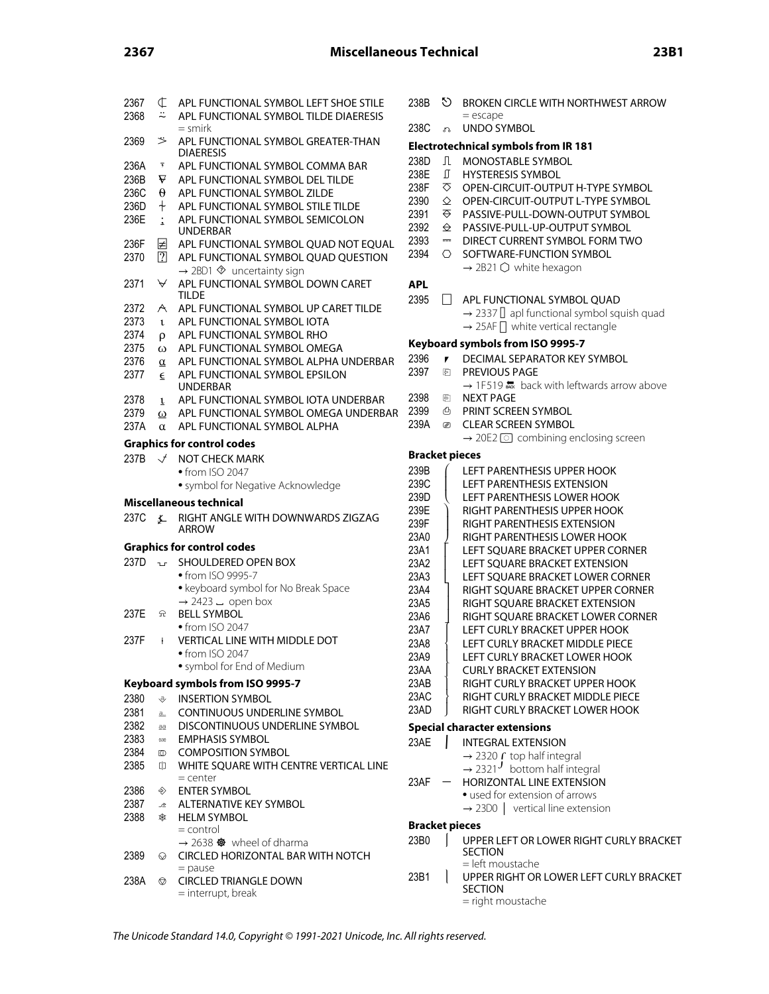| 2367<br>2368 | ¢<br>≈                  | APL FUNCTIONAL SYMBOL LEFT SHOE STILE<br>APL FUNCTIONAL SYMBOL TILDE DIAERESIS | 238B<br>238C |
|--------------|-------------------------|--------------------------------------------------------------------------------|--------------|
| 2369         | ゞ                       | = smirk<br>APL FUNCTIONAL SYMBOL GREATER-THAN<br><b>DIAERESIS</b>              | Elec         |
| 236A         | $\overline{\mathbf{y}}$ | APL FUNCTIONAL SYMBOL COMMA BAR                                                | 238D         |
| 236B         | ₩                       | APL FUNCTIONAL SYMBOL DEL TILDE                                                | 238E         |
| 236C         | θ                       | APL FUNCTIONAL SYMBOL ZILDE                                                    | 238F         |
|              |                         |                                                                                | 2390         |
| 236D         | $\ddag$                 | APL FUNCTIONAL SYMBOL STILE TILDE                                              | 2391         |
| 236E         | $\ddot{\cdot}$          | APL FUNCTIONAL SYMBOL SEMICOLON<br>UNDERBAR                                    | 2392         |
| 236F         | ⊭                       | APL FUNCTIONAL SYMBOL QUAD NOT EQUAL                                           | 2393         |
| 2370         | $\boxed{?}$             | APL FUNCTIONAL SYMBOL QUAD QUESTION                                            | 2394         |
|              |                         | $\rightarrow$ 2BD1 $\otimes$ uncertainty sign                                  |              |
|              | ∀                       | APL FUNCTIONAL SYMBOL DOWN CARET                                               |              |
| 2371         |                         | <b>TILDE</b>                                                                   | <b>APL</b>   |
| 2372         | A                       | APL FUNCTIONAL SYMBOL UP CARET TILDE                                           | 2395         |
|              |                         |                                                                                |              |
| 2373         | $\mathbf{t}$            | APL FUNCTIONAL SYMBOL IOTA                                                     |              |
| 2374         | ρ                       | APL FUNCTIONAL SYMBOL RHO                                                      | Keyl         |
| 2375         | ω                       | APL FUNCTIONAL SYMBOL OMEGA                                                    |              |
| 2376         | $\alpha$                | APL FUNCTIONAL SYMBOL ALPHA UNDERBAR                                           | 2396         |
| 2377         | $\overline{\epsilon}$   | APL FUNCTIONAL SYMBOL EPSILON                                                  | 2397         |
|              |                         | <b>UNDERBAR</b>                                                                |              |
| 2378         | $\mathbf{L}$            | APL FUNCTIONAL SYMBOL IOTA UNDERBAR                                            | 2398         |
| 2379         | $\omega$                | APL FUNCTIONAL SYMBOL OMEGA UNDERBAR                                           | 2399         |
| 237A         | $\alpha$                | APL FUNCTIONAL SYMBOL ALPHA                                                    | 239A         |
|              |                         | <b>Graphics for control codes</b>                                              |              |
| 237B         |                         |                                                                                | Brac         |
|              | $\sqrt{ }$              | <b>NOT CHECK MARK</b>                                                          | 239B         |
|              |                         | • from ISO 2047                                                                |              |
|              |                         | • symbol for Negative Acknowledge                                              | 239C<br>239D |
|              |                         |                                                                                |              |
|              |                         | Miscellaneous technical                                                        |              |
| 237C         | 廴                       | RIGHT ANGLE WITH DOWNWARDS ZIGZAG<br><b>ARROW</b>                              | 239E<br>239F |
|              |                         |                                                                                | 23A0         |
|              |                         | <b>Graphics for control codes</b>                                              | 23A1         |
| 237D         | $\mathbf{u}$            | SHOULDERED OPEN BOX                                                            | 23A2         |
|              |                         | • from ISO 9995-7                                                              | 23A3         |
|              |                         | · keyboard symbol for No Break Space                                           | 23A4         |
|              |                         | $\rightarrow$ 2423 $\overline{a}$ open box                                     | 23A5         |
| 237E         | 윣                       | <b>BELL SYMBOL</b>                                                             |              |
|              |                         | • from ISO 2047                                                                | 23A6         |
| 237F         | $\ddagger$              | VERTICAL LINE WITH MIDDLE DOT                                                  | 23A7         |
|              |                         |                                                                                | 23A8         |
|              |                         | $\bullet$ from ISO 2047                                                        | 23A9         |
|              |                         | · symbol for End of Medium                                                     | 23AA         |
|              |                         | Keyboard symbols from ISO 9995-7                                               | 23AE         |
| 2380         | $\hat{\mathcal{G}}$     | <b>INSERTION SYMBOL</b>                                                        | 23AC         |
| 2381         | a                       | <b>CONTINUOUS UNDERLINE SYMBOL</b>                                             | 23AD         |
| 2382         | aa                      | DISCONTINUOUS UNDERLINE SYMBOL                                                 |              |
| 2383         | ₩                       | <b>EMPHASIS SYMBOL</b>                                                         | <b>Spec</b>  |
|              | $\circledcirc$          | <b>COMPOSITION SYMBOL</b>                                                      | 23AE         |
| 2384         |                         |                                                                                |              |
| 2385         | 따                       | WHITE SQUARE WITH CENTRE VERTICAL LINE<br>$=$ center                           |              |
|              |                         |                                                                                | 23AF         |
| 2386         | ◈                       | <b>ENTER SYMBOL</b>                                                            |              |
| 2387         | 少                       | ALTERNATIVE KEY SYMBOL                                                         |              |
| 2388         | ₩                       | <b>HELM SYMBOL</b>                                                             | Brac         |
|              |                         | = control                                                                      |              |
|              |                         | $\rightarrow$ 2638 $\bullet\bullet$ wheel of dharma                            | 23B0         |
| 2389         | ⊙                       | CIRCLED HORIZONTAL BAR WITH NOTCH                                              |              |
| 238A         | ◎                       | $=$ pause<br><b>CIRCLED TRIANGLE DOWN</b>                                      | 23B1         |

= interrupt, break

|   | <b>Electrotechnical symbols from IR 181</b> |               |                                                                           |  |  |  |  |  |  |  |
|---|---------------------------------------------|---------------|---------------------------------------------------------------------------|--|--|--|--|--|--|--|
|   | 238D                                        | $\Box$        | <b>MONOSTABLE SYMBOL</b>                                                  |  |  |  |  |  |  |  |
|   | 238E                                        | $\mathbb{L}$  | <b>HYSTERESIS SYMBOL</b>                                                  |  |  |  |  |  |  |  |
|   | 238F                                        | ਨ             | OPEN-CIRCUIT-OUTPUT H-TYPE SYMBOL                                         |  |  |  |  |  |  |  |
|   | 2390                                        | $\Diamond$    | OPEN-CIRCUIT-OUTPUT L-TYPE SYMBOL                                         |  |  |  |  |  |  |  |
|   | 2391                                        | ਨ             | PASSIVE-PULL-DOWN-OUTPUT SYMBOL                                           |  |  |  |  |  |  |  |
|   | 2392                                        | $\triangle$   | PASSIVE-PULL-UP-OUTPUT SYMBOL                                             |  |  |  |  |  |  |  |
|   | 2393                                        | H             | DIRECT CURRENT SYMBOL FORM TWO                                            |  |  |  |  |  |  |  |
|   | 2394                                        | ⌒             | SOFTWARE-FUNCTION SYMBOL                                                  |  |  |  |  |  |  |  |
|   |                                             |               | $\rightarrow$ 2B21 $\bigcirc$ white hexagon                               |  |  |  |  |  |  |  |
|   | APL                                         |               |                                                                           |  |  |  |  |  |  |  |
|   | 2395                                        | $\mathsf{L}$  | APL FUNCTIONAL SYMBOL QUAD                                                |  |  |  |  |  |  |  |
|   |                                             |               | $\rightarrow$ 2337 $\parallel$ apl functional symbol squish quad          |  |  |  |  |  |  |  |
|   |                                             |               | $\rightarrow$ 25AF $\Box$ white vertical rectangle                        |  |  |  |  |  |  |  |
|   |                                             |               | Keyboard symbols from ISO 9995-7                                          |  |  |  |  |  |  |  |
|   | 2396                                        | ,             | DECIMAL SEPARATOR KEY SYMBOL                                              |  |  |  |  |  |  |  |
|   | 2397                                        | ନ             | PREVIOUS PAGE                                                             |  |  |  |  |  |  |  |
|   |                                             |               | $\rightarrow$ 1F519 $\frac{1}{\sqrt{25}}$ back with leftwards arrow above |  |  |  |  |  |  |  |
|   | 2398                                        | 園             | <b>NEXT PAGE</b>                                                          |  |  |  |  |  |  |  |
| R | 2399                                        | 凸             | PRINT SCREEN SYMBOL                                                       |  |  |  |  |  |  |  |
|   | 239A                                        | $\mathscr{D}$ | <b>CLEAR SCREEN SYMBOL</b>                                                |  |  |  |  |  |  |  |
|   |                                             |               |                                                                           |  |  |  |  |  |  |  |

= escape 33 UNDO SYMBOL

 $\rightarrow$  20E2  $\odot$  combining enclosing screen

 $\heartsuit$  BROKEN CIRCLE WITH NORTHWEST ARROW

### **Bracket pieces**

| 239B<br>239C<br>239D<br>239F<br>239F<br>23A0<br>23A1<br>23A2<br>23A3<br>23A4<br>23A5<br>23A6<br>23A7<br>23A8<br>23A9<br>23AA | LEFT PARENTHESIS UPPER HOOK<br>I FFT PARFNTHFSIS FXTFNSION<br>LEFT PARENTHESIS LOWER HOOK<br>RIGHT PARFNTHFSIS UPPFR HOOK<br>RIGHT PARFNTHESIS EXTENSION<br>RIGHT PARENTHESIS LOWER HOOK<br>LEFT SOUARE BRACKET UPPER CORNER<br>LEFT SOUARE BRACKET EXTENSION<br>LEFT SOUARE BRACKET LOWER CORNER<br>RIGHT SOUARE BRACKET UPPER CORNER<br>RIGHT SOUARE BRACKET EXTENSION<br>RIGHT SOUARE BRACKET LOWER CORNER<br>I FFT CURI Y BRACKFT UPPFR HOOK<br>LEFT CURLY BRACKET MIDDLE PIECE<br>LEFT CURLY BRACKET LOWER HOOK<br>CURI Y BRACKET EXTENSION |
|------------------------------------------------------------------------------------------------------------------------------|--------------------------------------------------------------------------------------------------------------------------------------------------------------------------------------------------------------------------------------------------------------------------------------------------------------------------------------------------------------------------------------------------------------------------------------------------------------------------------------------------------------------------------------------------|
|                                                                                                                              |                                                                                                                                                                                                                                                                                                                                                                                                                                                                                                                                                  |
|                                                                                                                              |                                                                                                                                                                                                                                                                                                                                                                                                                                                                                                                                                  |
| 23AB                                                                                                                         | RIGHT CURI Y BRACKFT UPPFR HOOK                                                                                                                                                                                                                                                                                                                                                                                                                                                                                                                  |
| 23AC                                                                                                                         | RIGHT CURLY BRACKET MIDDLE PIECE                                                                                                                                                                                                                                                                                                                                                                                                                                                                                                                 |
| 23AD                                                                                                                         | RIGHT CURI Y BRACKET I OWER HOOK                                                                                                                                                                                                                                                                                                                                                                                                                                                                                                                 |

### **Special character extensions**

| 23AE |                          | <b>INTEGRAL EXTENSION</b>                            |
|------|--------------------------|------------------------------------------------------|
|      |                          | $\rightarrow$ 2320 $\Gamma$ top half integral        |
|      |                          | $\rightarrow$ 2321 <sup>J</sup> bottom half integral |
| 23AF | $\overline{\phantom{0}}$ | HORIZONTAL LINE EXTENSION                            |
|      |                          | • used for extension of arrows                       |
|      |                          | $\rightarrow$ 23D0   vertical line extension         |
|      |                          |                                                      |

#### **Bracket pieces**

- **UPPER LEFT OR LOWER RIGHT CURLY BRACKET** SECTION = left moustache
- <sup>1</sup> UPPER RIGHT OR LOWER LEFT CURLY BRACKET SECTION = right moustache

The Unicode Standard 14.0, Copyright © 1991-2021 Unicode, Inc. All rights reserved.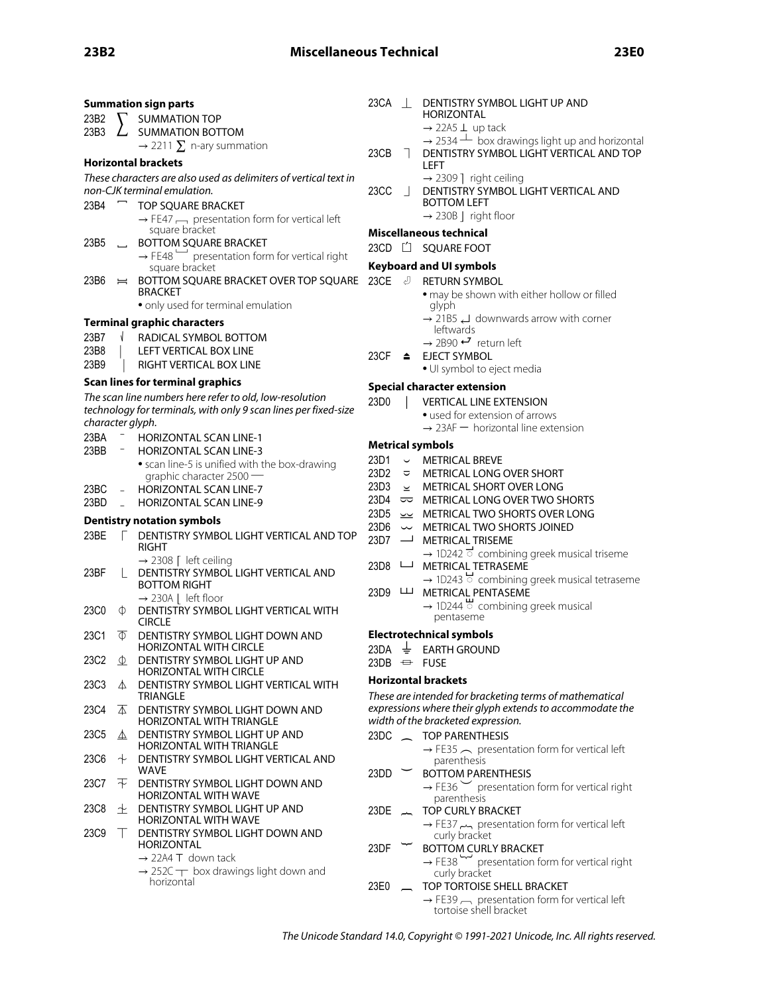|                  |                          | <b>Summation sign parts</b>                                                 | $23CA$            |                          | DENTISTRY SYMBOL LIGHT UP AND                                                            |
|------------------|--------------------------|-----------------------------------------------------------------------------|-------------------|--------------------------|------------------------------------------------------------------------------------------|
| 23B2             |                          | <b>SUMMATION TOP</b>                                                        |                   |                          | HORIZONTAL                                                                               |
| 23B3             |                          | <b>SUMMATION BOTTOM</b>                                                     |                   |                          | $\rightarrow$ 22A5 $\perp$ up tack                                                       |
|                  |                          | $\rightarrow$ 2211 $\Sigma$ n-ary summation                                 |                   |                          | $\rightarrow$ 2534 $\pm$ box drawings light up and horizontal                            |
|                  |                          | Horizontal brackets                                                         | 23CB              | $\blacksquare$           | DENTISTRY SYMBOL LIGHT VERTICAL AND TOP<br>LEFT                                          |
|                  |                          | These characters are also used as delimiters of vertical text in            |                   |                          | $\rightarrow$ 2309 ] right ceiling                                                       |
|                  |                          | non-CJK terminal emulation.                                                 | 23CC              |                          | DENTISTRY SYMBOL LIGHT VERTICAL AND                                                      |
| 23B4             | $\overline{\phantom{0}}$ | <b>TOP SQUARE BRACKET</b>                                                   |                   |                          | <b>BOTTOM LEFT</b>                                                                       |
|                  |                          | $\rightarrow$ FE47 $\rightarrow$ presentation form for vertical left        |                   |                          | $\rightarrow$ 230B   right floor                                                         |
|                  |                          | square bracket                                                              |                   |                          | Miscellaneous technical                                                                  |
| 23B5             | $\overline{\phantom{0}}$ | BOTTOM SQUARE BRACKET                                                       |                   |                          | 23CD [1 SQUARE FOOT                                                                      |
|                  |                          | $\rightarrow$ FE48 presentation form for vertical right                     |                   |                          |                                                                                          |
|                  |                          | square bracket                                                              |                   |                          | <b>Keyboard and UI symbols</b>                                                           |
| 23B6             | $=$                      | BOTTOM SQUARE BRACKET OVER TOP SQUARE<br><b>BRACKET</b>                     | 23CE $\cup$       |                          | <b>RETURN SYMBOL</b>                                                                     |
|                  |                          | • only used for terminal emulation                                          |                   |                          | • may be shown with either hollow or filled<br>glyph                                     |
|                  |                          | Terminal graphic characters                                                 |                   |                          | $\rightarrow$ 21B5 $\rightarrow$ downwards arrow with corner                             |
| 23B7             |                          | RADICAL SYMBOL BOTTOM                                                       |                   |                          | leftwards                                                                                |
| 23B8             |                          | LEFT VERTICAL BOX LINE                                                      |                   |                          | $\rightarrow$ 2B90 $\rightarrow$ return left                                             |
| 23B9             |                          | RIGHT VERTICAL BOX LINE                                                     | 23CF $\triangleq$ |                          | <b>EJECT SYMBOL</b>                                                                      |
|                  |                          |                                                                             |                   |                          | • UI symbol to eject media                                                               |
|                  |                          | Scan lines for terminal graphics                                            |                   |                          | <b>Special character extension</b>                                                       |
|                  |                          | The scan line numbers here refer to old, low-resolution                     | 23D0              |                          | <b>VERTICAL LINE EXTENSION</b>                                                           |
|                  |                          | technology for terminals, with only 9 scan lines per fixed-size             |                   |                          | • used for extension of arrows                                                           |
| character glyph. |                          |                                                                             |                   |                          | $\rightarrow$ 23AF – horizontal line extension                                           |
| 23BA<br>23BB     |                          | <b>HORIZONTAL SCAN LINE-1</b><br><b>HORIZONTAL SCAN LINE-3</b>              |                   |                          | <b>Metrical symbols</b>                                                                  |
|                  |                          |                                                                             | 23D1              |                          | $\cup$ METRICAL BREVE                                                                    |
|                  |                          | • scan line-5 is unified with the box-drawing<br>graphic character $2500 -$ | 23D2              |                          | □ METRICAL LONG OVER SHORT                                                               |
| 23BC             |                          | <b>HORIZONTAL SCAN LINE-7</b>                                               | 23D3              |                          | $\leq$ METRICAL SHORT OVER LONG                                                          |
| 23BD             |                          | <b>HORIZONTAL SCAN LINE-9</b>                                               | 23D4              |                          | $\overline{\sim}$ METRICAL LONG OVER TWO SHORTS                                          |
|                  |                          |                                                                             | 23D <sub>5</sub>  |                          | $\sim$ METRICAL TWO SHORTS OVER LONG                                                     |
|                  |                          | Dentistry notation symbols                                                  | 23D6              |                          | $\sim$ METRICAL TWO SHORTS JOINED                                                        |
| 23BE             |                          | DENTISTRY SYMBOL LIGHT VERTICAL AND TOP                                     | 23D7              | $\overline{\phantom{0}}$ | <b>METRICAL TRISEME</b>                                                                  |
|                  |                          | <b>RIGHT</b>                                                                |                   |                          | $\rightarrow$ 1D242 $\vec{\phantom{a}}$ combining greek musical triseme                  |
| 23BF             |                          | $\rightarrow$ 2308 [ left ceiling<br>DENTISTRY SYMBOL LIGHT VERTICAL AND    | 23D8 └─           |                          | METRICAL TETRASEME                                                                       |
|                  |                          | <b>BOTTOM RIGHT</b>                                                         |                   |                          | $\rightarrow$ 1D243 $\overleftrightarrow{\phantom{a}}$ combining greek musical tetraseme |
|                  |                          | $\rightarrow$ 230A   left floor                                             | 23D9 山            |                          | METRICAL PENTASEME                                                                       |
| 23C0             | $\Phi$                   | DENTISTRY SYMBOL LIGHT VERTICAL WITH                                        |                   |                          | $\rightarrow$ 1D244 $\stackrel{\mathsf{u}}{\circ}$ combining greek musical               |
|                  |                          | <b>CIRCLE</b>                                                               |                   |                          | pentaseme                                                                                |
| 23C1             | Φ                        | DENTISTRY SYMBOL LIGHT DOWN AND                                             |                   |                          | <b>Electrotechnical symbols</b>                                                          |
|                  |                          | HORIZONTAL WITH CIRCLE                                                      | 23DA              |                          | $\frac{1}{2}$ EARTH GROUND                                                               |
| 23C2             | $\Phi$                   | DENTISTRY SYMBOL LIGHT UP AND                                               |                   |                          | $23DB \leftrightarrow FUSE$                                                              |
|                  |                          | <b>HORIZONTAL WITH CIRCLE</b>                                               |                   |                          | <b>Horizontal brackets</b>                                                               |
| 23C3             | △                        | DENTISTRY SYMBOL LIGHT VERTICAL WITH<br><b>TRIANGLE</b>                     |                   |                          | These are intended for bracketing terms of mathematical                                  |
| 23C4             | $\triangle$              | DENTISTRY SYMBOL LIGHT DOWN AND                                             |                   |                          | expressions where their glyph extends to accommodate the                                 |
|                  |                          | <b>HORIZONTAL WITH TRIANGLE</b>                                             |                   |                          | width of the bracketed expression.                                                       |
| 23C5             | $\triangle$              | DENTISTRY SYMBOL LIGHT UP AND                                               |                   |                          | 23DC _ TOP PARENTHESIS                                                                   |
|                  |                          | <b>HORIZONTAL WITH TRIANGLE</b>                                             |                   |                          | $\rightarrow$ FE35 $\frown$ presentation form for vertical left                          |
| 23C6             | ᠰ                        | DENTISTRY SYMBOL LIGHT VERTICAL AND                                         |                   |                          | parenthesis                                                                              |
|                  |                          | <b>WAVE</b>                                                                 | 23DD              |                          | <b>BOTTOM PARENTHESIS</b>                                                                |
| 23C7             | 王                        | DENTISTRY SYMBOL LIGHT DOWN AND<br><b>HORIZONTAL WITH WAVE</b>              |                   |                          | $\rightarrow$ FE36 $\sim$ presentation form for vertical right                           |
|                  |                          |                                                                             |                   |                          | parenthesis                                                                              |
| 23C8             | ᠰ                        | DENTISTRY SYMBOL LIGHT UP AND<br>HORIZONTAL WITH WAVE                       |                   |                          | 23DE _ TOP CURLY BRACKET<br>→ FE37 مم presentation form for vertical left                |
| 23C9             | $\perp$                  | DENTISTRY SYMBOL LIGHT DOWN AND                                             |                   |                          | curly bracket                                                                            |
|                  |                          | HORIZONTAL                                                                  | 23DF              |                          | <b>BOTTOM CURLY BRACKET</b>                                                              |
|                  |                          | $\rightarrow$ 22A4 T down tack                                              |                   |                          | → FE38 presentation form for vertical right                                              |
|                  |                          | $\rightarrow$ 252C $\rightarrow$ box drawings light down and<br>horizontal  |                   |                          | curly bracket                                                                            |
|                  |                          |                                                                             |                   |                          | 23E0 _ TOP TORTOISE SHELL BRACKET                                                        |
|                  |                          |                                                                             |                   |                          | $\rightarrow$ FE39 $\rightarrow$ presentation form for vertical left                     |

tortoise shell bracket